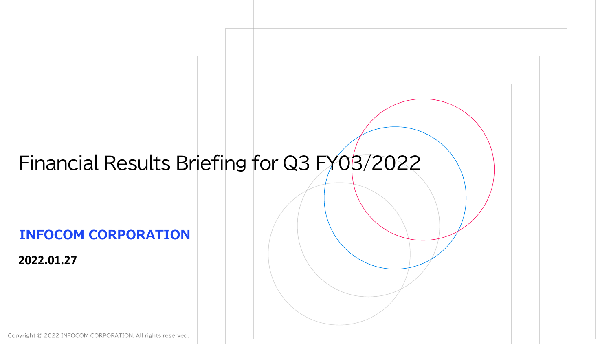# **INFOCOM CORPORATION 2022.01.27** Financial Results Briefing for Q3 FY03/2022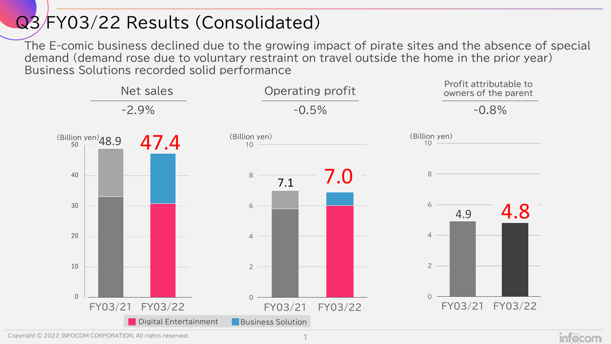## Q3 FY03/22 Results (Consolidated)

The E-comic business declined due to the growing impact of pirate sites and the absence of special demand (demand rose due to voluntary restraint on travel outside the home in the prior year) Business Solutions recorded solid performance



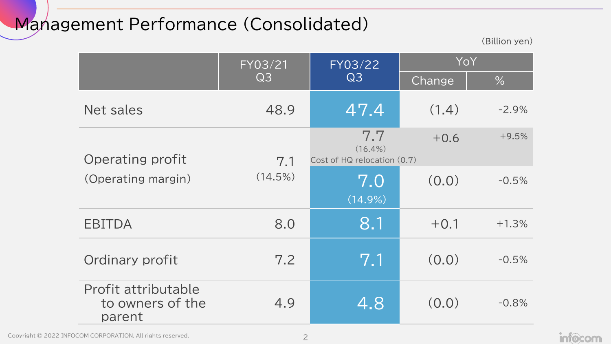## Management Performance (Consolidated)

(Billion yen)

|                                                   | FY03/21 | FY03/22                                          | YoY    |         |  |
|---------------------------------------------------|---------|--------------------------------------------------|--------|---------|--|
|                                                   | Q3      | Q3                                               | Change | $\%$    |  |
| Net sales                                         | 48.9    | 47.4                                             | (1.4)  | $-2.9%$ |  |
| Operating profit                                  | 7.1     | 7.7<br>$(16.4\%)$<br>Cost of HQ relocation (0.7) | $+0.6$ | $+9.5%$ |  |
| (Operating margin)                                | (14.5%) | 7.0<br>$(14.9\%)$                                | (0.0)  | $-0.5%$ |  |
| EBITDA                                            | 8.0     | 8.1                                              | $+0.1$ | $+1.3%$ |  |
| Ordinary profit                                   | 7.2     | 7.1                                              | (0.0)  | $-0.5%$ |  |
| Profit attributable<br>to owners of the<br>parent | 4.9     | 4.8                                              | (0.0)  | $-0.8%$ |  |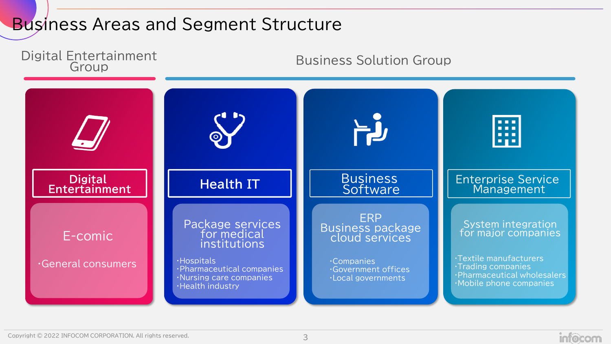## **Business Areas and Segment Structure**



**infocom**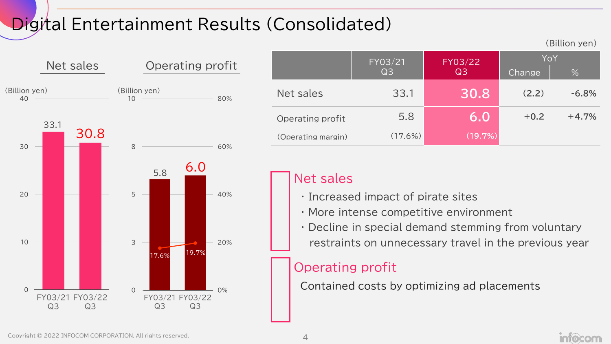# Digital Entertainment Results (Consolidated)



|                    |                |                |        | (Billion yen) |  |
|--------------------|----------------|----------------|--------|---------------|--|
|                    | FY03/21        | FY03/22        | YoY    |               |  |
|                    | Q <sub>3</sub> | Q <sub>3</sub> | Change | %             |  |
| Net sales          | 33.1           | 30.8           | (2.2)  | $-6.8%$       |  |
| Operating profit   | 5.8            | 6.0            | $+0.2$ | $+4.7%$       |  |
| (Operating margin) | (17.6%)        | (19.7%)        |        |               |  |

#### Net sales

- ・ Increased impact of pirate sites
- ・ More intense competitive environment
- ・ Decline in special demand stemming from voluntary
- restraints on unnecessary travel in the previous year

## Operating profit

Contained costs by optimizing ad placements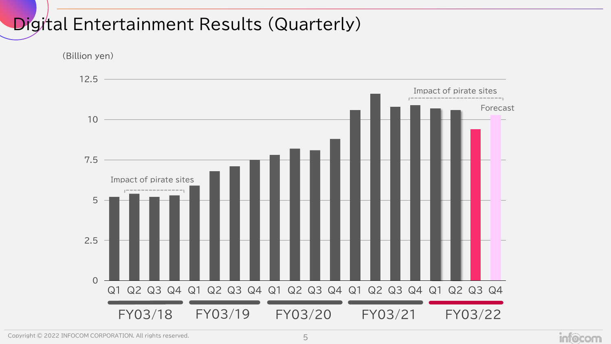## **Digital Entertainment Results (Quarterly)**

(Billion yen)

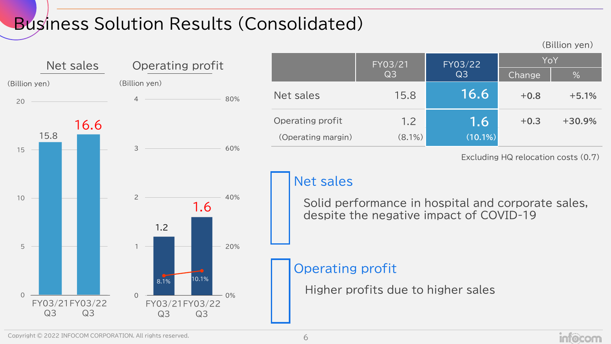# Business Solution Results (Consolidated)



|                    | FY03/21        | FY03/22        | YoY    |          |  |
|--------------------|----------------|----------------|--------|----------|--|
|                    | Q <sub>3</sub> | Q <sub>3</sub> | Change | %        |  |
| Net sales          | 15.8           | 16.6           | $+0.8$ | $+5.1%$  |  |
| Operating profit   | 1.2            | 1.6            | $+0.3$ | $+30.9%$ |  |
| (Operating margin) | $(8.1\%)$      | $(10.1\%)$     |        |          |  |

Excluding HQ relocation costs (0.7)

(Billion yen)

## Net sales

Solid performance in hospital and corporate sales, despite the negative impact of COVID-19

#### Operating profit

Higher profits due to higher sales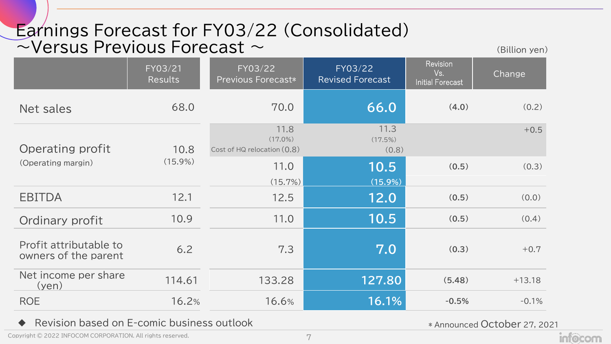## Earnings Forecast for FY03/22 (Consolidated)  $\sim$ Versus Previous Forecast  $\sim$

(Billion yen)

|                                                | FY03/21<br><b>Results</b> | FY03/22<br><b>Previous Forecast*</b>              | FY03/22<br><b>Revised Forecast</b> | <b>Revision</b><br>Vs.<br><b>Initial Forecast</b> | Change   |
|------------------------------------------------|---------------------------|---------------------------------------------------|------------------------------------|---------------------------------------------------|----------|
| Net sales                                      | 68.0                      | 70.0                                              | 66.0                               | (4.0)                                             | (0.2)    |
| Operating profit                               | 10.8                      | 11.8<br>$(17.0\%)$<br>Cost of HQ relocation (0.8) | 11.3<br>(17.5%)<br>(0.8)           |                                                   | $+0.5$   |
| (Operating margin)                             | $(15.9\%)$                | 11.0<br>(15.7%)                                   | 10.5<br>$(15.9\%)$                 | (0.5)                                             | (0.3)    |
| <b>EBITDA</b>                                  | 12.1                      | 12.5                                              | 12.0                               | (0.5)                                             | (0.0)    |
| Ordinary profit                                | 10.9                      | 11.0                                              | 10.5                               | (0.5)                                             | (0.4)    |
| Profit attributable to<br>owners of the parent | 6.2                       | 7.3                                               | 7.0                                | (0.3)                                             | $+0.7$   |
| Net income per share<br>(yen)                  | 114.61                    | 133.28                                            | 127.80                             | (5.48)                                            | $+13.18$ |
| <b>ROE</b>                                     | 16.2%                     | 16.6%                                             | 16.1%                              | $-0.5%$                                           | $-0.1%$  |

Revision based on E-comic business outlook

\* Announced October 27, 2021

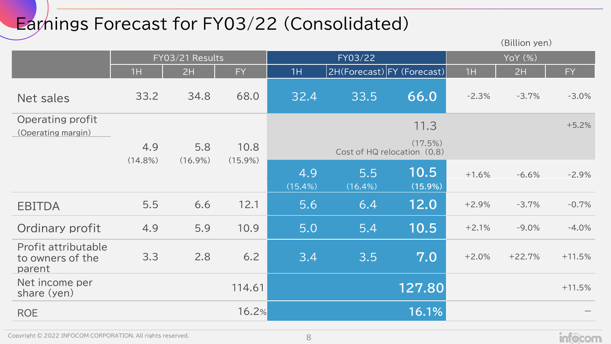# Earnings Forecast for FY03/22 (Consolidated)

|                                                   |                 |            |            |                   |                   |                                        |         | (Billion yen) |           |
|---------------------------------------------------|-----------------|------------|------------|-------------------|-------------------|----------------------------------------|---------|---------------|-----------|
|                                                   | FY03/21 Results |            |            | FY03/22           |                   |                                        | YoY (%) |               |           |
|                                                   | 1H              | 2H         | <b>FY</b>  | 1H                |                   | 2H(Forecast) FY (Forecast)             | 1H      | 2H            | <b>FY</b> |
| Net sales                                         | 33.2            | 34.8       | 68.0       | 32.4              | 33.5              | 66.0                                   | $-2.3%$ | $-3.7%$       | $-3.0%$   |
| Operating profit                                  |                 |            |            |                   |                   | 11.3                                   |         |               | $+5.2%$   |
| (Operating margin)                                | 4.9             | 5.8        | 10.8       |                   |                   | (17.5%)<br>Cost of HQ relocation (0.8) |         |               |           |
|                                                   | $(14.8\%)$      | $(16.9\%)$ | $(15.9\%)$ | 4.9<br>$(15.4\%)$ | 5.5<br>$(16.4\%)$ | 10.5<br>$(15.9\%)$                     | $+1.6%$ | $-6.6%$       | $-2.9%$   |
| <b>EBITDA</b>                                     | 5.5             | 6.6        | 12.1       | 5.6               | 6.4               | 12.0                                   | $+2.9%$ | $-3.7%$       | $-0.7%$   |
| Ordinary profit                                   | 4.9             | 5.9        | 10.9       | 5.0               | 5.4               | 10.5                                   | $+2.1%$ | $-9.0%$       | $-4.0%$   |
| Profit attributable<br>to owners of the<br>parent | 3.3             | 2.8        | 6.2        | 3.4               | 3.5               | 7.0                                    | $+2.0%$ | $+22.7%$      | $+11.5%$  |
| Net income per<br>share (yen)                     |                 |            | 114.61     |                   |                   | 127.80                                 |         |               | $+11.5%$  |
| <b>ROE</b>                                        |                 |            | 16.2%      |                   |                   | 16.1%                                  |         |               |           |

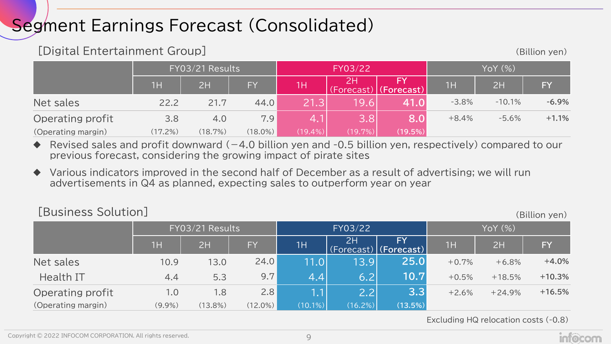## Segment Earnings Forecast (Consolidated)

#### [Digital Entertainment Group] (Billion yen)

|                    | FY03/21 Results |         |            | FY03/22           |            |            | YoY (%) |          |           |
|--------------------|-----------------|---------|------------|-------------------|------------|------------|---------|----------|-----------|
|                    | 1H              | 2H      | <b>FY</b>  | 1H                | (Forecast) | (Forecast) | 1H      | 2H       | <b>FY</b> |
| Net sales          | 22.2            | 21.7    | 44.0       | 21.3 <sub>1</sub> | 9.6        | 41.0I      | $-3.8%$ | $-10.1%$ | $-6.9\%$  |
| Operating profit   | 3.8             | 4.0     | 7.9        |                   | 3.8        | 8.0        | $+8.4%$ | $-5.6%$  | $+1.1%$   |
| (Operating margin) | (17.2%)         | (18.7%) | $(18.0\%)$ | $(19.4\%)$        | $(19.7\%)$ | (19.5%)    |         |          |           |

- Revised sales and profit downward  $(-4.0$  billion yen and -0.5 billion yen, respectively) compared to our previous forecast, considering the growing impact of pirate sites
- Various indicators improved in the second half of December as a result of advertising; we will run advertisements in Q4 as planned, expecting sales to outperform year on year

#### [Business Solution] (Billion yen)

|                    | FY03/21 Results |         |            | FY03/22    |         |                                                                     | YoY (%) |          |          |
|--------------------|-----------------|---------|------------|------------|---------|---------------------------------------------------------------------|---------|----------|----------|
|                    | TH              | 2H      | FY         | 1H         | 2H      | FY<br>$\overline{\text{(Forest)}}$ (Forecast) $\overline{\text{[}}$ | 1H      | 2H       | FY       |
| Net sales          | 10.9            | 13.0    | 24.0       | 11.0       | 13.9    | 25.0                                                                | $+0.7%$ | $+6.8%$  | $+4.0%$  |
| Health IT          | 4.4             | 5.3     | 9.7        | 4.4        | 6.2     | 10.7                                                                | $+0.5%$ | $+18.5%$ | $+10.3%$ |
| Operating profit   | 1.0             | 1.8     | 2.8        | 1.1        | 2.2     | 3.3                                                                 | $+2.6%$ | $+24.9%$ | $+16.5%$ |
| (Operating margin) | $(9.9\%)$       | (13.8%) | $(12.0\%)$ | $(10.1\%)$ | (16.2%) | (13.5%)                                                             |         |          |          |

Excluding HQ relocation costs (-0.8)

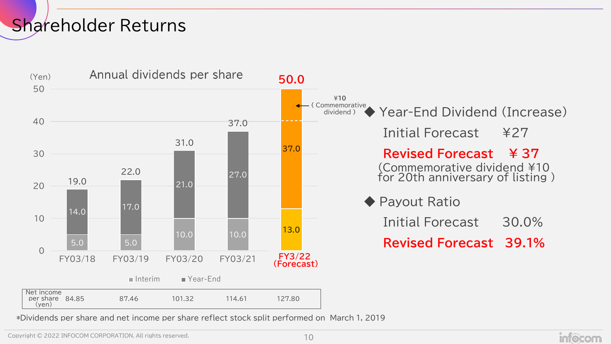## Shareholder Returns



\*Dividends per share and net income per share reflect stock split performed on March 1, 2019